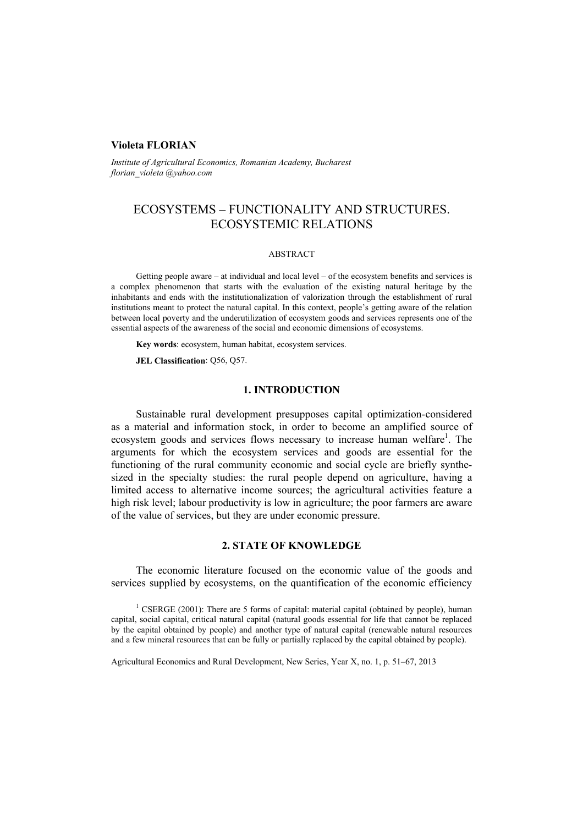# **Violeta FLORIAN**

*Institute of Agricultural Economics, Romanian Academy, Bucharest florian\_violeta @yahoo.com* 

# ECOSYSTEMS – FUNCTIONALITY AND STRUCTURES. ECOSYSTEMIC RELATIONS

#### ABSTRACT

Getting people aware – at individual and local level – of the ecosystem benefits and services is a complex phenomenon that starts with the evaluation of the existing natural heritage by the inhabitants and ends with the institutionalization of valorization through the establishment of rural institutions meant to protect the natural capital. In this context, people's getting aware of the relation between local poverty and the underutilization of ecosystem goods and services represents one of the essential aspects of the awareness of the social and economic dimensions of ecosystems.

**Key words**: ecosystem, human habitat, ecosystem services.

**JEL Classification**: Q56, Q57.

#### **1. INTRODUCTION**

Sustainable rural development presupposes capital optimization-considered as a material and information stock, in order to become an amplified source of ecosystem goods and services flows necessary to increase human welfare<sup>1</sup>. The arguments for which the ecosystem services and goods are essential for the functioning of the rural community economic and social cycle are briefly synthesized in the specialty studies: the rural people depend on agriculture, having a limited access to alternative income sources; the agricultural activities feature a high risk level; labour productivity is low in agriculture; the poor farmers are aware of the value of services, but they are under economic pressure.

# **2. STATE OF KNOWLEDGE**

The economic literature focused on the economic value of the goods and services supplied by ecosystems, on the quantification of the economic efficiency

Agricultural Economics and Rural Development, New Series, Year X, no. 1, p. 51–67, 2013

<sup>&</sup>lt;sup>1</sup> CSERGE (2001): There are 5 forms of capital: material capital (obtained by people), human capital, social capital, critical natural capital (natural goods essential for life that cannot be replaced by the capital obtained by people) and another type of natural capital (renewable natural resources and a few mineral resources that can be fully or partially replaced by the capital obtained by people).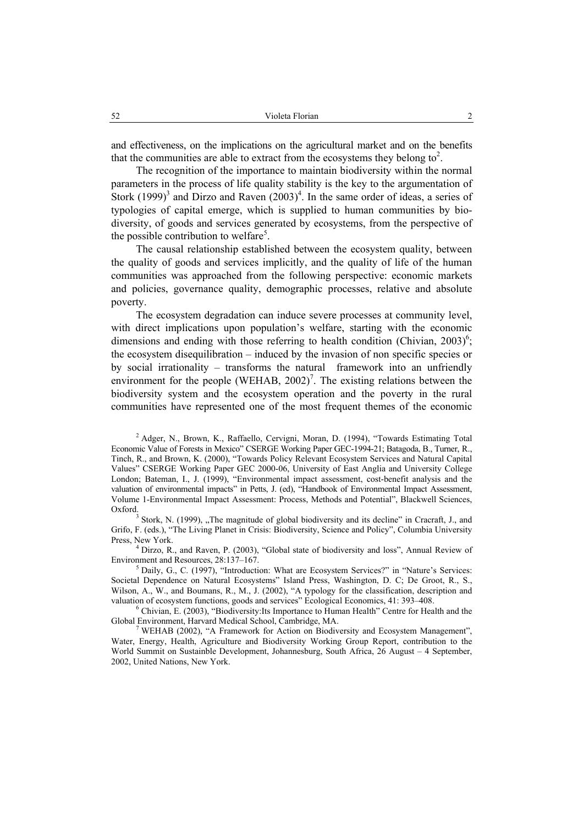and effectiveness, on the implications on the agricultural market and on the benefits that the communities are able to extract from the ecosystems they belong to<sup>2</sup>.

The recognition of the importance to maintain biodiversity within the normal parameters in the process of life quality stability is the key to the argumentation of Stork  $(1999)^3$  and Dirzo and Raven  $(2003)^4$ . In the same order of ideas, a series of typologies of capital emerge, which is supplied to human communities by biodiversity, of goods and services generated by ecosystems, from the perspective of the possible contribution to welfare<sup>5</sup>.

The causal relationship established between the ecosystem quality, between the quality of goods and services implicitly, and the quality of life of the human communities was approached from the following perspective: economic markets and policies, governance quality, demographic processes, relative and absolute poverty.

The ecosystem degradation can induce severe processes at community level, with direct implications upon population's welfare, starting with the economic dimensions and ending with those referring to health condition (Chivian,  $2003$ )<sup>6</sup>; the ecosystem disequilibration – induced by the invasion of non specific species or by social irrationality – transforms the natural framework into an unfriendly environment for the people (WEHAB,  $2002$ )<sup>7</sup>. The existing relations between the biodiversity system and the ecosystem operation and the poverty in the rural communities have represented one of the most frequent themes of the economic

<sup>2</sup> Adger, N., Brown, K., Raffaello, Cervigni, Moran, D. (1994), "Towards Estimating Total Economic Value of Forests in Mexico" CSERGE Working Paper GEC-1994-21; Batagoda, B., Turner, R., Tinch, R., and Brown, K. (2000), "Towards Policy Relevant Ecosystem Services and Natural Capital Values" CSERGE Working Paper GEC 2000-06, University of East Anglia and University College London; Bateman, I., J. (1999), "Environmental impact assessment, cost-benefit analysis and the valuation of environmental impacts" in Petts, J. (ed), "Handbook of Environmental Impact Assessment, Volume 1-Environmental Impact Assessment: Process, Methods and Potential", Blackwell Sciences, Oxford.

 $3$  Stork, N. (1999), "The magnitude of global biodiversity and its decline" in Cracraft, J., and Grifo, F. (eds.), "The Living Planet in Crisis: Biodiversity, Science and Policy", Columbia University Press, New York.

<sup>4</sup> Dirzo, R., and Raven, P. (2003), "Global state of biodiversity and loss", Annual Review of Environment and Resources, 28:137-167.

 $<sup>5</sup>$  Daily, G., C. (1997), "Introduction: What are Ecosystem Services?" in "Nature's Services:</sup> Societal Dependence on Natural Ecosystems" Island Press, Washington, D. C; De Groot, R., S., Wilson, A., W., and Boumans, R., M., J. (2002), "A typology for the classification, description and valuation of ecosystem functions, goods and services" Ecological Economics, 41: 393-408.

 Chivian, E. (2003), "Biodiversity:Its Importance to Human Health" Centre for Health and the Global Environment, Harvard Medical School, Cambridge, MA. 7

<sup>7</sup> WEHAB (2002), "A Framework for Action on Biodiversity and Ecosystem Management", Water, Energy, Health, Agriculture and Biodiversity Working Group Report, contribution to the World Summit on Sustainble Development, Johannesburg, South Africa, 26 August – 4 September, 2002, United Nations, New York.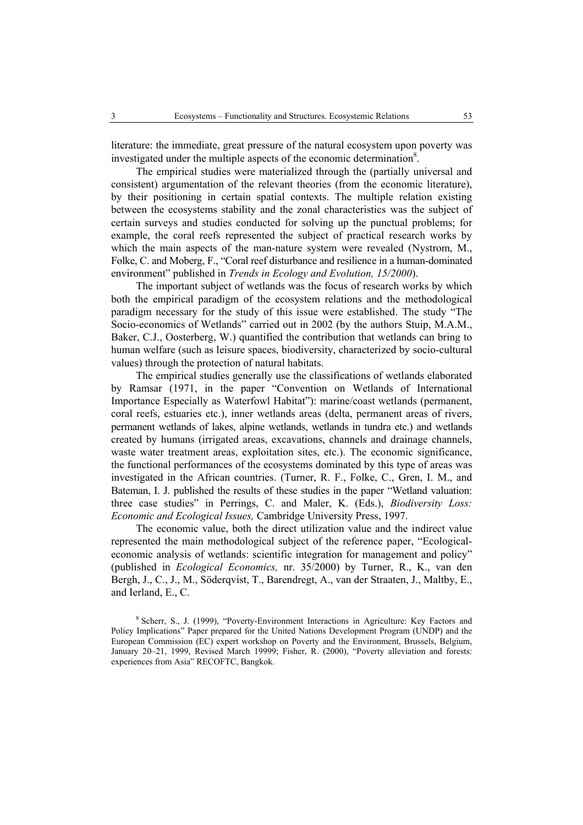literature: the immediate, great pressure of the natural ecosystem upon poverty was investigated under the multiple aspects of the economic determination<sup>8</sup>.

The empirical studies were materialized through the (partially universal and consistent) argumentation of the relevant theories (from the economic literature), by their positioning in certain spatial contexts. The multiple relation existing between the ecosystems stability and the zonal characteristics was the subject of certain surveys and studies conducted for solving up the punctual problems; for example, the coral reefs represented the subject of practical research works by which the main aspects of the man-nature system were revealed (Nystrom, M., Folke, C. and Moberg, F., "Coral reef disturbance and resilience in a human-dominated environment" published in *Trends in Ecology and Evolution, 15/2000*).

The important subject of wetlands was the focus of research works by which both the empirical paradigm of the ecosystem relations and the methodological paradigm necessary for the study of this issue were established. The study "The Socio-economics of Wetlands" carried out in 2002 (by the authors Stuip, M.A.M., Baker, C.J., Oosterberg, W.) quantified the contribution that wetlands can bring to human welfare (such as leisure spaces, biodiversity, characterized by socio-cultural values) through the protection of natural habitats.

The empirical studies generally use the classifications of wetlands elaborated by Ramsar (1971, in the paper "Convention on Wetlands of International Importance Especially as Waterfowl Habitat"): marine/coast wetlands (permanent, coral reefs, estuaries etc.), inner wetlands areas (delta, permanent areas of rivers, permanent wetlands of lakes, alpine wetlands, wetlands in tundra etc.) and wetlands created by humans (irrigated areas, excavations, channels and drainage channels, waste water treatment areas, exploitation sites, etc.). The economic significance, the functional performances of the ecosystems dominated by this type of areas was investigated in the African countries. (Turner, R. F., Folke, C., Gren, I. M., and Bateman, I. J. published the results of these studies in the paper "Wetland valuation: three case studies" in Perrings, C. and Maler, K. (Eds.), *Biodiversity Loss: Economic and Ecological Issues,* Cambridge University Press, 1997.

The economic value, both the direct utilization value and the indirect value represented the main methodological subject of the reference paper, "Ecologicaleconomic analysis of wetlands: scientific integration for management and policy" (published in *Ecological Economics,* nr. 35/2000) by Turner, R., K., van den Bergh, J., C., J., M., Söderqvist, T., Barendregt, A., van der Straaten, J., Maltby, E., and Ierland, E., C.

<sup>8</sup> Scherr, S., J. (1999), "Poverty-Environment Interactions in Agriculture: Key Factors and Policy Implications" Paper prepared for the United Nations Development Program (UNDP) and the European Commission (EC) expert workshop on Poverty and the Environment, Brussels, Belgium, January 20–21, 1999, Revised March 19999; Fisher, R. (2000), "Poverty alleviation and forests: experiences from Asia" RECOFTC, Bangkok.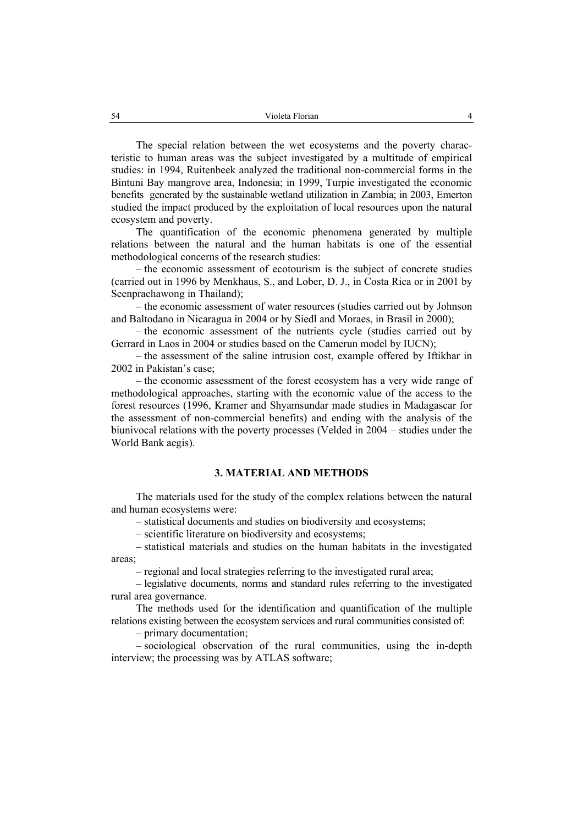The special relation between the wet ecosystems and the poverty characteristic to human areas was the subject investigated by a multitude of empirical studies: in 1994, Ruitenbeek analyzed the traditional non-commercial forms in the Bintuni Bay mangrove area, Indonesia; in 1999, Turpie investigated the economic benefits generated by the sustainable wetland utilization in Zambia; in 2003, Emerton studied the impact produced by the exploitation of local resources upon the natural ecosystem and poverty.

The quantification of the economic phenomena generated by multiple relations between the natural and the human habitats is one of the essential methodological concerns of the research studies:

– the economic assessment of ecotourism is the subject of concrete studies (carried out in 1996 by Menkhaus, S., and Lober, D. J., in Costa Rica or in 2001 by Seenprachawong in Thailand);

– the economic assessment of water resources (studies carried out by Johnson and Baltodano in Nicaragua in 2004 or by Siedl and Moraes, in Brasil in 2000);

– the economic assessment of the nutrients cycle (studies carried out by Gerrard in Laos in 2004 or studies based on the Camerun model by IUCN);

– the assessment of the saline intrusion cost, example offered by Iftikhar in 2002 in Pakistan's case;

– the economic assessment of the forest ecosystem has a very wide range of methodological approaches, starting with the economic value of the access to the forest resources (1996, Kramer and Shyamsundar made studies in Madagascar for the assessment of non-commercial benefits) and ending with the analysis of the biunivocal relations with the poverty processes (Velded in 2004 – studies under the World Bank aegis).

#### **3. MATERIAL AND METHODS**

The materials used for the study of the complex relations between the natural and human ecosystems were:

– statistical documents and studies on biodiversity and ecosystems;

– scientific literature on biodiversity and ecosystems;

– statistical materials and studies on the human habitats in the investigated areas;

– regional and local strategies referring to the investigated rural area;

– legislative documents, norms and standard rules referring to the investigated rural area governance.

The methods used for the identification and quantification of the multiple relations existing between the ecosystem services and rural communities consisted of:

– primary documentation;

– sociological observation of the rural communities, using the in-depth interview; the processing was by ATLAS software;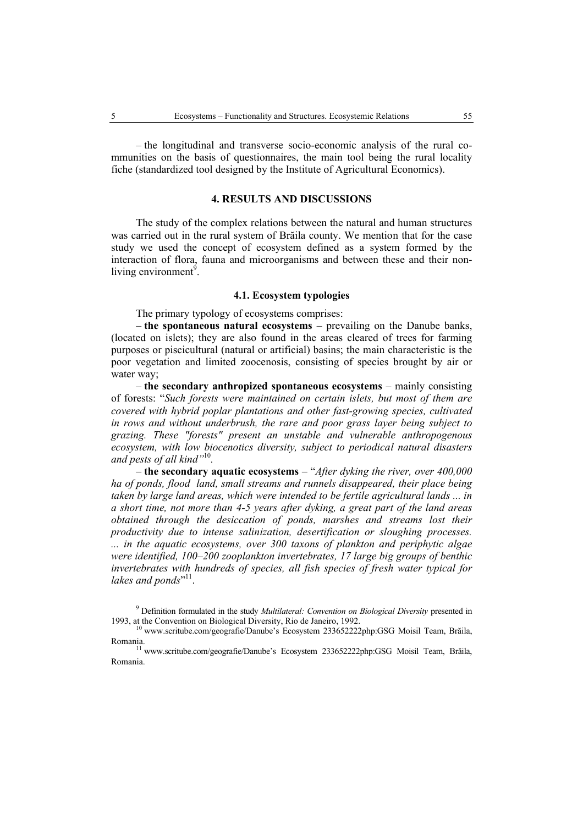– the longitudinal and transverse socio-economic analysis of the rural communities on the basis of questionnaires, the main tool being the rural locality fiche (standardized tool designed by the Institute of Agricultural Economics).

### **4. RESULTS AND DISCUSSIONS**

The study of the complex relations between the natural and human structures was carried out in the rural system of Brăila county. We mention that for the case study we used the concept of ecosystem defined as a system formed by the interaction of flora, fauna and microorganisms and between these and their nonliving environment<sup>9</sup>.

## **4.1. Ecosystem typologies**

The primary typology of ecosystems comprises:

– **the spontaneous natural ecosystems** – prevailing on the Danube banks, (located on islets); they are also found in the areas cleared of trees for farming purposes or piscicultural (natural or artificial) basins; the main characteristic is the poor vegetation and limited zoocenosis, consisting of species brought by air or water way;

– **the secondary anthropized spontaneous ecosystems** – mainly consisting of forests: "*Such forests were maintained on certain islets, but most of them are covered with hybrid poplar plantations and other fast-growing species, cultivated in rows and without underbrush, the rare and poor grass layer being subject to grazing. These "forests" present an unstable and vulnerable anthropogenous ecosystem, with low biocenotics diversity, subject to periodical natural disasters and pests of all kind"*<sup>10</sup>*.*

– **the secondary aquatic ecosystems** – "*After dyking the river, over 400,000 ha of ponds, flood land, small streams and runnels disappeared, their place being taken by large land areas, which were intended to be fertile agricultural lands ... in a short time, not more than 4-5 years after dyking, a great part of the land areas obtained through the desiccation of ponds, marshes and streams lost their productivity due to intense salinization, desertification or sloughing processes. ... in the aquatic ecosystems, over 300 taxons of plankton and periphytic algae were identified, 100–200 zooplankton invertebrates, 17 large big groups of benthic invertebrates with hundreds of species, all fish species of fresh water typical for*  lakes and ponds"<sup>11</sup>.

<sup>9</sup> Definition formulated in the study *Multilateral: Convention on Biological Diversity* presented in 1993, at the Convention on Biological Diversity, Rio de Janeiro, 1992.<br><sup>10</sup> www.scritube.com/geografie/Danube's Ecosystem 233652222php:GSG Moisil Team, Brăila,

Romania. 11 www.scritube.com/geografie/Danube's Ecosystem 233652222php:GSG Moisil Team, Brăila,

Romania.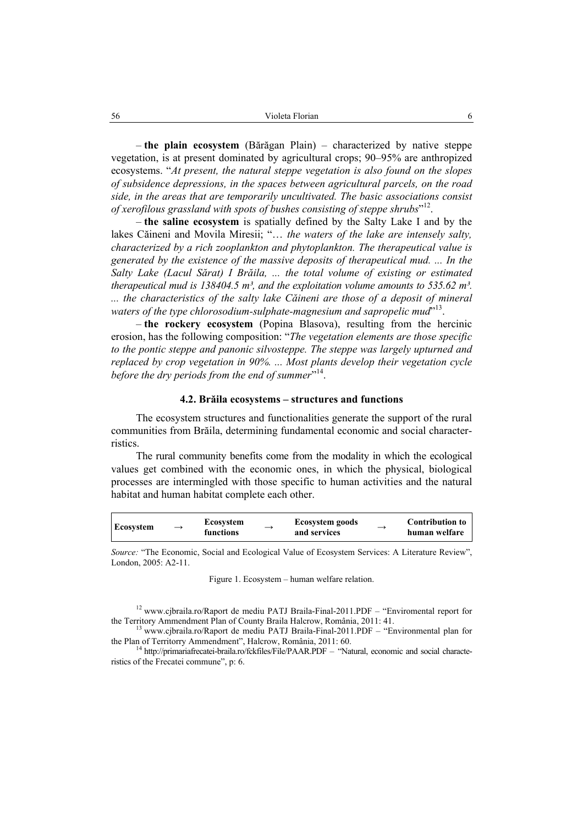– **the plain ecosystem** (Bărăgan Plain) – characterized by native steppe vegetation, is at present dominated by agricultural crops; 90–95% are anthropized ecosystems. "*At present, the natural steppe vegetation is also found on the slopes of subsidence depressions, in the spaces between agricultural parcels, on the road side, in the areas that are temporarily uncultivated. The basic associations consist of xerofilous grassland with spots of bushes consisting of steppe shrubs*" 12.

– **the saline ecosystem** is spatially defined by the Salty Lake I and by the lakes Căineni and Movila Miresii; "… *the waters of the lake are intensely salty, characterized by a rich zooplankton and phytoplankton. The therapeutical value is generated by the existence of the massive deposits of therapeutical mud. ... In the Salty Lake (Lacul Sărat) I Brăila, ... the total volume of existing or estimated therapeutical mud is 138404.5 m<sup>3</sup>, and the exploitation volume amounts to 535.62 m<sup>3</sup>. ... the characteristics of the salty lake Căineni are those of a deposit of mineral*  waters of the type chlorosodium-sulphate-magnesium and sapropelic mud<sup>713</sup>.

– **the rockery ecosystem** (Popina Blasova), resulting from the hercinic erosion, has the following composition: "*The vegetation elements are those specific to the pontic steppe and panonic silvosteppe. The steppe was largely upturned and replaced by crop vegetation in 90%. ... Most plants develop their vegetation cycle*  before the dry periods from the end of summer<sup>714</sup>.

#### **4.2. Brăila ecosystems – structures and functions**

The ecosystem structures and functionalities generate the support of the rural communities from Brăila, determining fundamental economic and social characterristics.

The rural community benefits come from the modality in which the ecological values get combined with the economic ones, in which the physical, biological processes are intermingled with those specific to human activities and the natural habitat and human habitat complete each other.

| Ecosystem | $\rightarrow$ | <b>Ecosystem</b><br>functions | — | <b>Ecosystem goods</b><br>and services | $\rightarrow$ | <b>Contribution to</b><br>human welfare |
|-----------|---------------|-------------------------------|---|----------------------------------------|---------------|-----------------------------------------|
|-----------|---------------|-------------------------------|---|----------------------------------------|---------------|-----------------------------------------|

*Source:* "The Economic, Social and Ecological Value of Ecosystem Services: A Literature Review", London, 2005: A2-11.

Figure 1. Ecosystem – human welfare relation.

<sup>12</sup> www.cjbraila.ro/Raport de mediu PATJ Braila-Final-2011.PDF – "Enviromental report for the Territory Ammendment Plan of County Braila Halcrow, România, 2011: 41.<br><sup>13</sup> www.cjbraila.ro/Raport de mediu PATJ Braila-Final-2011.PDF – "Environmental plan for

the Plan of Territorry Ammendment", Halcrow, România, 2011: 60.<br><sup>14</sup> http://primariafrecatei-braila.ro/fckfiles/File/PAAR.PDF – "Natural, economic and social characte-

ristics of the Frecatei commune", p: 6.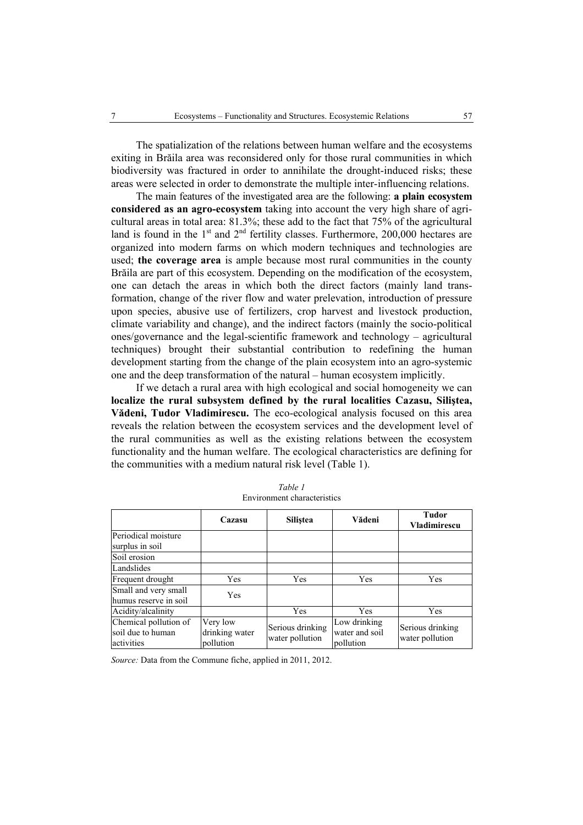The spatialization of the relations between human welfare and the ecosystems exiting in Brăila area was reconsidered only for those rural communities in which biodiversity was fractured in order to annihilate the drought-induced risks; these areas were selected in order to demonstrate the multiple inter-influencing relations.

The main features of the investigated area are the following: **a plain ecosystem considered as an agro-ecosystem** taking into account the very high share of agricultural areas in total area: 81.3%; these add to the fact that 75% of the agricultural land is found in the  $1<sup>st</sup>$  and  $2<sup>nd</sup>$  fertility classes. Furthermore, 200,000 hectares are organized into modern farms on which modern techniques and technologies are used; **the coverage area** is ample because most rural communities in the county Brăila are part of this ecosystem. Depending on the modification of the ecosystem, one can detach the areas in which both the direct factors (mainly land transformation, change of the river flow and water prelevation, introduction of pressure upon species, abusive use of fertilizers, crop harvest and livestock production, climate variability and change), and the indirect factors (mainly the socio-political ones/governance and the legal-scientific framework and technology – agricultural techniques) brought their substantial contribution to redefining the human development starting from the change of the plain ecosystem into an agro-systemic one and the deep transformation of the natural – human ecosystem implicitly.

If we detach a rural area with high ecological and social homogeneity we can **localize the rural subsystem defined by the rural localities Cazasu, Siliştea, Vădeni, Tudor Vladimirescu.** The eco-ecological analysis focused on this area reveals the relation between the ecosystem services and the development level of the rural communities as well as the existing relations between the ecosystem functionality and the human welfare. The ecological characteristics are defining for the communities with a medium natural risk level (Table 1).

|                                                          | Cazasu                                  | Silistea                            | Vădeni                                      | <b>Tudor</b><br><b>Vladimirescu</b> |
|----------------------------------------------------------|-----------------------------------------|-------------------------------------|---------------------------------------------|-------------------------------------|
| Periodical moisture<br>surplus in soil                   |                                         |                                     |                                             |                                     |
| Soil erosion                                             |                                         |                                     |                                             |                                     |
| Landslides                                               |                                         |                                     |                                             |                                     |
| Frequent drought                                         | Yes                                     | Yes                                 | <b>Yes</b>                                  | <b>Yes</b>                          |
| Small and very small<br>humus reserve in soil            | Yes                                     |                                     |                                             |                                     |
| Acidity/alcalinity                                       |                                         | Yes                                 | Yes                                         | Yes                                 |
| Chemical pollution of<br>soil due to human<br>activities | Very low<br>drinking water<br>pollution | Serious drinking<br>water pollution | Low drinking<br>water and soil<br>pollution | Serious drinking<br>water pollution |

*Table 1*  Environment characteristics

*Source:* Data from the Commune fiche, applied in 2011, 2012.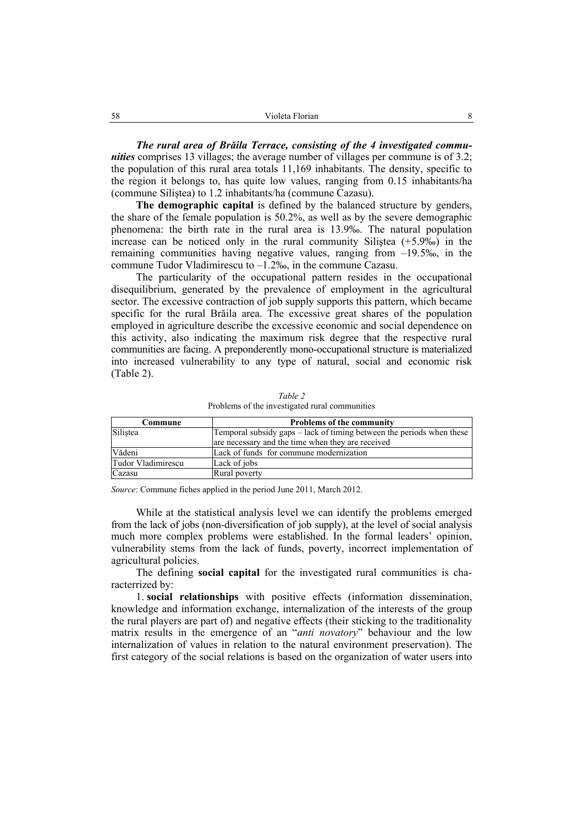*The rural area of Brăila Terrace, consisting of the 4 investigated communities* comprises 13 villages; the average number of villages per commune is of 3.2; the population of this rural area totals 11,169 inhabitants. The density, specific to the region it belongs to, has quite low values, ranging from 0.15 inhabitants/ha (commune Siliştea) to 1.2 inhabitants/ha (commune Cazasu).

**The demographic capital** is defined by the balanced structure by genders, the share of the female population is 50.2%, as well as by the severe demographic phenomena: the birth rate in the rural area is 13.9‰. The natural population increase can be noticed only in the rural community Siliștea  $(+5.9\%)$  in the remaining communities having negative values, ranging from –19.5‰, in the commune Tudor Vladimirescu to –1.2‰, in the commune Cazasu.

The particularity of the occupational pattern resides in the occupational disequilibrium, generated by the prevalence of employment in the agricultural sector. The excessive contraction of job supply supports this pattern, which became specific for the rural Brăila area. The excessive great shares of the population employed in agriculture describe the excessive economic and social dependence on this activity, also indicating the maximum risk degree that the respective rural communities are facing. A preponderently mono-occupational structure is materialized into increased vulnerability to any type of natural, social and economic risk (Table 2).

| Commune            | <b>Problems of the community</b>                                      |
|--------------------|-----------------------------------------------------------------------|
| Silistea           | Temporal subsidy gaps – lack of timing between the periods when these |
|                    | are necessary and the time when they are received                     |
| Vădeni             | Lack of funds for commune modernization                               |
| Tudor Vladimirescu | Lack of jobs                                                          |
| Cazasu             | Rural poverty                                                         |

*Table 2*  Problems of the investigated rural communities

*Source*: Commune fiches applied in the period June 2011, March 2012.

While at the statistical analysis level we can identify the problems emerged from the lack of jobs (non-diversification of job supply), at the level of social analysis much more complex problems were established. In the formal leaders' opinion, vulnerability stems from the lack of funds, poverty, incorrect implementation of agricultural policies.

The defining **social capital** for the investigated rural communities is characterrized by:

1. **social relationships** with positive effects (information dissemination, knowledge and information exchange, internalization of the interests of the group the rural players are part of) and negative effects (their sticking to the traditionality matrix results in the emergence of an "*anti novatory*" behaviour and the low internalization of values in relation to the natural environment preservation). The first category of the social relations is based on the organization of water users into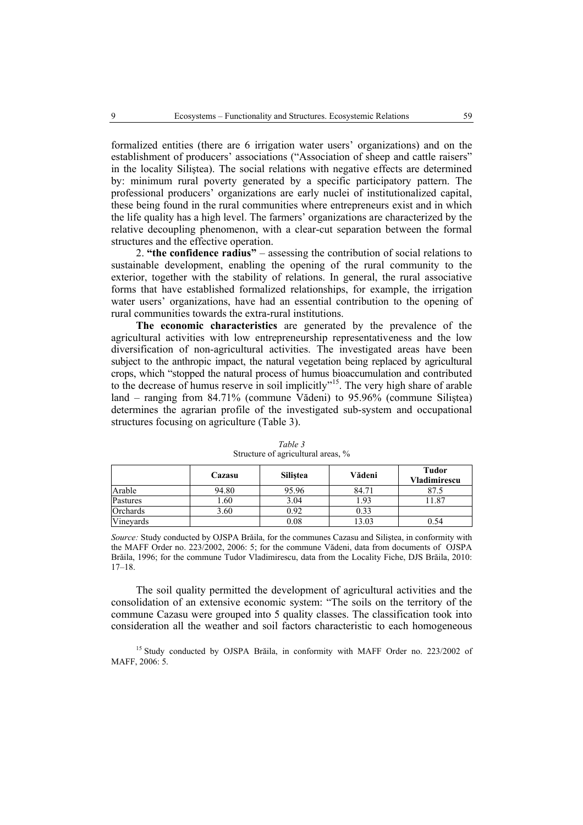formalized entities (there are 6 irrigation water users' organizations) and on the establishment of producers' associations ("Association of sheep and cattle raisers" in the locality Siliştea). The social relations with negative effects are determined by: minimum rural poverty generated by a specific participatory pattern. The professional producers' organizations are early nuclei of institutionalized capital, these being found in the rural communities where entrepreneurs exist and in which the life quality has a high level. The farmers' organizations are characterized by the relative decoupling phenomenon, with a clear-cut separation between the formal structures and the effective operation.

2. **"the confidence radius"** – assessing the contribution of social relations to sustainable development, enabling the opening of the rural community to the exterior, together with the stability of relations. In general, the rural associative forms that have established formalized relationships, for example, the irrigation water users' organizations, have had an essential contribution to the opening of rural communities towards the extra-rural institutions.

**The economic characteristics** are generated by the prevalence of the agricultural activities with low entrepreneurship representativeness and the low diversification of non-agricultural activities. The investigated areas have been subject to the anthropic impact, the natural vegetation being replaced by agricultural crops, which "stopped the natural process of humus bioaccumulation and contributed to the decrease of humus reserve in soil implicitly"<sup>15</sup>. The very high share of arable land – ranging from 84.71% (commune Vădeni) to 95.96% (commune Siliştea) determines the agrarian profile of the investigated sub-system and occupational structures focusing on agriculture (Table 3).

|           | Cazasu | <b>Silistea</b> | Vădeni | <b>Tudor</b><br><b>Vladimirescu</b> |
|-----------|--------|-----------------|--------|-------------------------------------|
| Arable    | 94.80  | 95.96           | 84.71  |                                     |
| Pastures  | .60    | 3.04            | . 93   | 87                                  |
| Orchards  | 3.60   | 0.92            | 0.33   |                                     |
| Vineyards |        | 0.08            | 13.03  | 0.54                                |

*Table 3*  Structure of agricultural areas, %

*Source:* Study conducted by OJSPA Brăila, for the communes Cazasu and Siliştea, in conformity with the MAFF Order no. 223/2002, 2006: 5; for the commune Vădeni, data from documents of OJSPA Brăila, 1996; for the commune Tudor Vladimirescu, data from the Locality Fiche, DJS Brăila, 2010: 17–18.

The soil quality permitted the development of agricultural activities and the consolidation of an extensive economic system: "The soils on the territory of the commune Cazasu were grouped into 5 quality classes. The classification took into consideration all the weather and soil factors characteristic to each homogeneous

<sup>15</sup> Study conducted by OJSPA Brăila, in conformity with MAFF Order no. 223/2002 of MAFF $2006:5$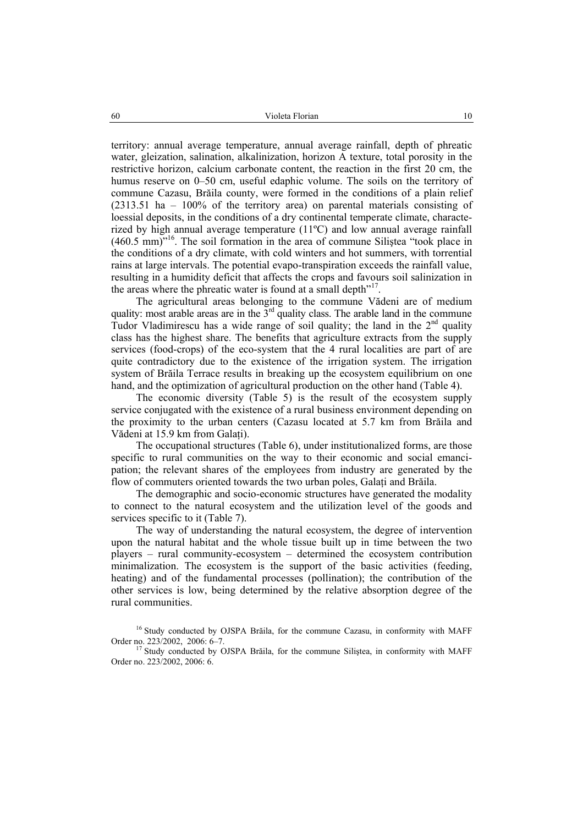territory: annual average temperature, annual average rainfall, depth of phreatic water, gleization, salination, alkalinization, horizon A texture, total porosity in the restrictive horizon, calcium carbonate content, the reaction in the first 20 cm, the humus reserve on 0–50 cm, useful edaphic volume. The soils on the territory of commune Cazasu, Brăila county, were formed in the conditions of a plain relief (2313.51 ha – 100% of the territory area) on parental materials consisting of loessial deposits, in the conditions of a dry continental temperate climate, characterized by high annual average temperature (11ºC) and low annual average rainfall (460.5 mm)"16. The soil formation in the area of commune Siliştea "took place in the conditions of a dry climate, with cold winters and hot summers, with torrential rains at large intervals. The potential evapo-transpiration exceeds the rainfall value, resulting in a humidity deficit that affects the crops and favours soil salinization in the areas where the phreatic water is found at a small depth<sup>"17</sup>.

The agricultural areas belonging to the commune Vădeni are of medium quality: most arable areas are in the  $3<sup>rd</sup>$  quality class. The arable land in the commune Tudor Vladimirescu has a wide range of soil quality; the land in the  $2<sup>nd</sup>$  quality class has the highest share. The benefits that agriculture extracts from the supply services (food-crops) of the eco-system that the 4 rural localities are part of are quite contradictory due to the existence of the irrigation system. The irrigation system of Brăila Terrace results in breaking up the ecosystem equilibrium on one hand, and the optimization of agricultural production on the other hand (Table 4).

The economic diversity (Table 5) is the result of the ecosystem supply service conjugated with the existence of a rural business environment depending on the proximity to the urban centers (Cazasu located at 5.7 km from Brăila and Vădeni at 15.9 km from Galaţi).

The occupational structures (Table 6), under institutionalized forms, are those specific to rural communities on the way to their economic and social emancipation; the relevant shares of the employees from industry are generated by the flow of commuters oriented towards the two urban poles, Galați and Brăila.

The demographic and socio-economic structures have generated the modality to connect to the natural ecosystem and the utilization level of the goods and services specific to it (Table 7).

The way of understanding the natural ecosystem, the degree of intervention upon the natural habitat and the whole tissue built up in time between the two players – rural community-ecosystem – determined the ecosystem contribution minimalization. The ecosystem is the support of the basic activities (feeding, heating) and of the fundamental processes (pollination); the contribution of the other services is low, being determined by the relative absorption degree of the rural communities.

<sup>&</sup>lt;sup>16</sup> Study conducted by OJSPA Brăila, for the commune Cazasu, in conformity with MAFF Order no. 223/2002, 2006: 6–7. 17 Study conducted by OJSPA Brăila, for the commune Siliştea, in conformity with MAFF

Order no. 223/2002, 2006: 6.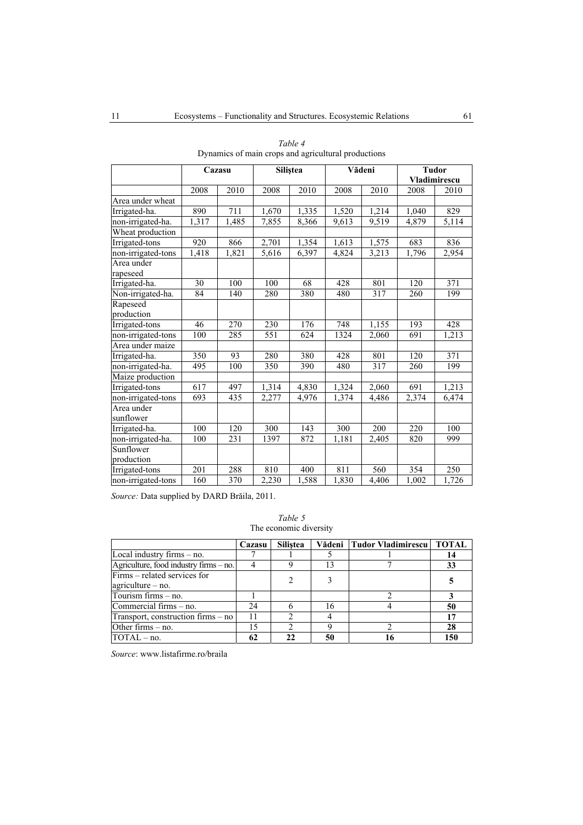|                        | Cazasu          |       | Siliştea           |       | Vădeni           |       | <b>Tudor</b><br>Vladimirescu |       |
|------------------------|-----------------|-------|--------------------|-------|------------------|-------|------------------------------|-------|
|                        | 2008            | 2010  | 2008               | 2010  | 2008             | 2010  | 2008                         | 2010  |
| Area under wheat       |                 |       |                    |       |                  |       |                              |       |
| Irrigated-ha.          | 890             | 711   | 1,670              | 1,335 | 1,520            | 1,214 | 1,040                        | 829   |
| non-irrigated-ha.      | 1,317           | 1,485 | 7,855              | 8,366 | 9,613            | 9,519 | 4,879                        | 5,114 |
| Wheat production       |                 |       |                    |       |                  |       |                              |       |
| Irrigated-tons         | 920             | 866   | 2,701              | 1,354 | 1,613            | 1,575 | 683                          | 836   |
| non-irrigated-tons     | 1,418           | 1,821 | $\overline{5,616}$ | 6,397 | 4,824            | 3,213 | 1,796                        | 2,954 |
| Area under<br>rapeseed |                 |       |                    |       |                  |       |                              |       |
| Irrigated-ha.          | 30              | 100   | 100                | 68    | 428              | 801   | 120                          | 371   |
| Non-irrigated-ha.      | $\overline{84}$ | 140   | 280                | 380   | 480              | 317   | 260                          | 199   |
| Rapeseed<br>production |                 |       |                    |       |                  |       |                              |       |
| Irrigated-tons         | 46              | 270   | 230                | 176   | 748              | 1,155 | 193                          | 428   |
| non-irrigated-tons     | 100             | 285   | 551                | 624   | 1324             | 2,060 | 691                          | 1,213 |
| Area under maize       |                 |       |                    |       |                  |       |                              |       |
| Irrigated-ha.          | 350             | 93    | 280                | 380   | 428              | 801   | 120                          | 371   |
| non-irrigated-ha.      | 495             | 100   | 350                | 390   | 480              | 317   | 260                          | 199   |
| Maize production       |                 |       |                    |       |                  |       |                              |       |
| Irrigated-tons         | 617             | 497   | 1,314              | 4,830 | 1,324            | 2,060 | 691                          | 1,213 |
| non-irrigated-tons     | 693             | 435   | 2,277              | 4,976 | 1,374            | 4,486 | 2,374                        | 6,474 |
| Area under             |                 |       |                    |       |                  |       |                              |       |
| sunflower              |                 |       |                    |       |                  |       |                              |       |
| Irrigated-ha.          | 100             | 120   | 300                | 143   | $\overline{300}$ | 200   | 220                          | 100   |
| non-irrigated-ha.      | 100             | 231   | 1397               | 872   | 1,181            | 2,405 | 820                          | 999   |
| Sunflower              |                 |       |                    |       |                  |       |                              |       |
| production             |                 |       |                    |       |                  |       |                              |       |
| Irrigated-tons         | 201             | 288   | 810                | 400   | 811              | 560   | 354                          | 250   |
| non-irrigated-tons     | 160             | 370   | 2,230              | 1,588 | 1,830            | 4,406 | 1,002                        | 1,726 |

| Table 4 |  |  |  |  |                                                     |  |  |
|---------|--|--|--|--|-----------------------------------------------------|--|--|
|         |  |  |  |  | Dynamics of main crops and agricultural productions |  |  |

*Source:* Data supplied by DARD Brăila, 2011.

*Table 5* The economic diversity

|                                        | Cazasu | <b>Silistea</b> |    | Vădeni   Tudor Vladimirescu | <b>TOTAL</b> |
|----------------------------------------|--------|-----------------|----|-----------------------------|--------------|
| Local industry firms - no.             |        |                 |    |                             | 14           |
| Agriculture, food industry firms - no. |        |                 |    |                             | 33           |
| Firms – related services for           |        |                 |    |                             |              |
| $a$ griculture – no.                   |        |                 |    |                             |              |
| Tourism firms - no.                    |        |                 |    |                             |              |
| Commercial firms – no.                 | 24     |                 | 16 |                             | 50           |
| Transport, construction firms – no     | 11     |                 |    |                             |              |
| Other firms $-$ no.                    |        |                 |    |                             | 28           |
| $TOTAL - no$ .                         | 62     |                 |    |                             | 15(          |

*Source*: www.listafirme.ro/braila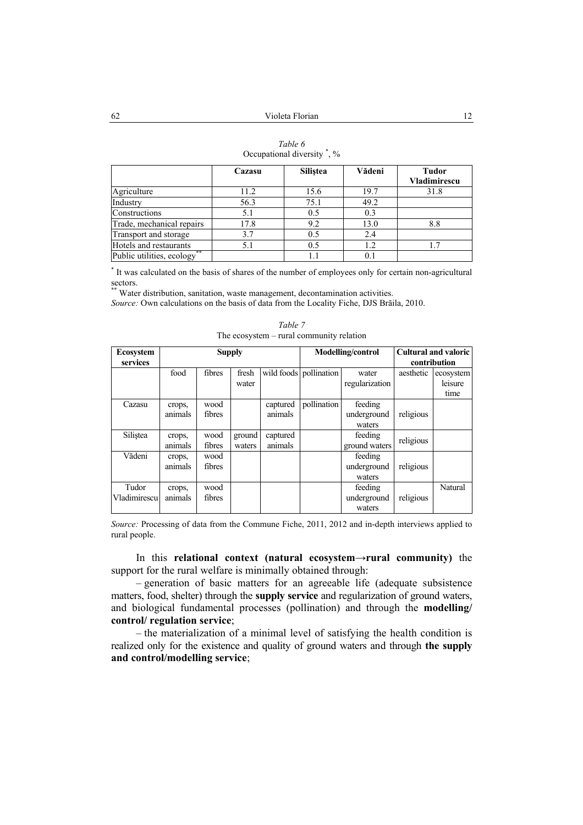|                                 | Cazasu | <b>Silistea</b> | Vădeni | <b>Tudor</b>        |
|---------------------------------|--------|-----------------|--------|---------------------|
|                                 |        |                 |        | <b>Vladimirescu</b> |
| Agriculture                     | 11.2   | 15.6            | 19.7   | 31.8                |
| Industry                        | 56.3   | 75.1            | 49.2   |                     |
| Constructions                   | 5.1    | 0.5             | 0.3    |                     |
| Trade, mechanical repairs       | 17.8   | 9.2             | 13.0   | 8.8                 |
| Transport and storage           | 3.7    | 0.5             | 2.4    |                     |
| Hotels and restaurants          | 5.1    | 0.5             | 1.2    | 1.7                 |
| **<br>Public utilities, ecology |        |                 |        |                     |

| Table 6                   |  |
|---------------------------|--|
| Occupational diversity, % |  |

\* It was calculated on the basis of shares of the number of employees only for certain non-agricultural sectors.

Water distribution, sanitation, waste management, decontamination activities.

*Source:* Own calculations on the basis of data from the Locality Fiche, DJS Brăila, 2010.

| <b>Ecosystem</b><br>services | <b>Supply</b>     |                |                  |                     | <b>Modelling/control</b> |                                  | Cultural and valoric<br>contribution |                              |
|------------------------------|-------------------|----------------|------------------|---------------------|--------------------------|----------------------------------|--------------------------------------|------------------------------|
|                              | food              | fibres         | fresh<br>water   |                     | wild foods pollination   | water<br>regularization          | aesthetic                            | ecosystem<br>leisure<br>time |
| Cazasu                       | crops,<br>animals | wood<br>fibres |                  | captured<br>animals | pollination              | feeding<br>underground<br>waters | religious                            |                              |
| Silistea                     | crops,<br>animals | wood<br>fibres | ground<br>waters | captured<br>animals |                          | feeding<br>ground waters         | religious                            |                              |
| Vădeni                       | crops,<br>animals | wood<br>fibres |                  |                     |                          | feeding<br>underground<br>waters | religious                            |                              |
| Tudor<br>Vladimirescu        | crops,<br>animals | wood<br>fibres |                  |                     |                          | feeding<br>underground<br>waters | religious                            | Natural                      |

*Table 7*  The ecosystem – rural community relation

*Source:* Processing of data from the Commune Fiche, 2011, 2012 and in-depth interviews applied to rural people.

In this **relational context (natural ecosystem→rural community)** the support for the rural welfare is minimally obtained through:

– generation of basic matters for an agreeable life (adequate subsistence matters, food, shelter) through the **supply service** and regularization of ground waters, and biological fundamental processes (pollination) and through the **modelling/ control/ regulation service**;

– the materialization of a minimal level of satisfying the health condition is realized only for the existence and quality of ground waters and through **the supply and control/modelling service**;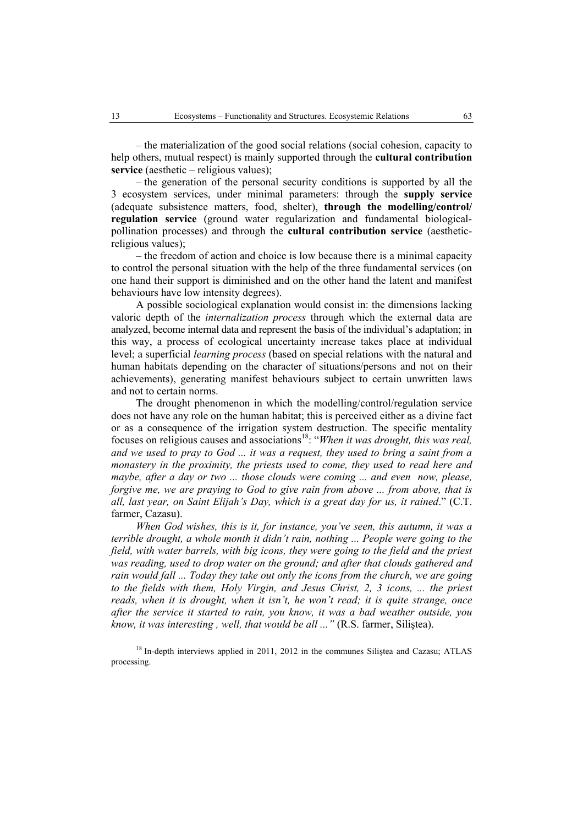– the materialization of the good social relations (social cohesion, capacity to help others, mutual respect) is mainly supported through the **cultural contribution service** (aesthetic – religious values);

– the generation of the personal security conditions is supported by all the 3 ecosystem services, under minimal parameters: through the **supply service**  (adequate subsistence matters, food, shelter), **through the modelling/control/ regulation service** (ground water regularization and fundamental biologicalpollination processes) and through the **cultural contribution service** (aestheticreligious values);

– the freedom of action and choice is low because there is a minimal capacity to control the personal situation with the help of the three fundamental services (on one hand their support is diminished and on the other hand the latent and manifest behaviours have low intensity degrees).

A possible sociological explanation would consist in: the dimensions lacking valoric depth of the *internalization process* through which the external data are analyzed, become internal data and represent the basis of the individual's adaptation; in this way, a process of ecological uncertainty increase takes place at individual level; a superficial *learning process* (based on special relations with the natural and human habitats depending on the character of situations/persons and not on their achievements), generating manifest behaviours subject to certain unwritten laws and not to certain norms.

The drought phenomenon in which the modelling/control/regulation service does not have any role on the human habitat; this is perceived either as a divine fact or as a consequence of the irrigation system destruction. The specific mentality focuses on religious causes and associations18: "*When it was drought, this was real, and we used to pray to God ... it was a request, they used to bring a saint from a monastery in the proximity, the priests used to come, they used to read here and maybe, after a day or two ... those clouds were coming ... and even now, please, forgive me, we are praying to God to give rain from above ... from above, that is all, last year, on Saint Elijah's Day, which is a great day for us, it rained*." (C.T. farmer, Cazasu).

*When God wishes, this is it, for instance, you've seen, this autumn, it was a terrible drought, a whole month it didn't rain, nothing ... People were going to the field, with water barrels, with big icons, they were going to the field and the priest was reading, used to drop water on the ground; and after that clouds gathered and rain would fall ... Today they take out only the icons from the church, we are going to the fields with them, Holy Virgin, and Jesus Christ, 2, 3 icons, ... the priest reads, when it is drought, when it isn't, he won't read; it is quite strange, once after the service it started to rain, you know, it was a bad weather outside, you know, it was interesting , well, that would be all ..."* (R.S. farmer, Siliştea).

<sup>18</sup> In-depth interviews applied in 2011, 2012 in the communes Siliștea and Cazasu; ATLAS processing.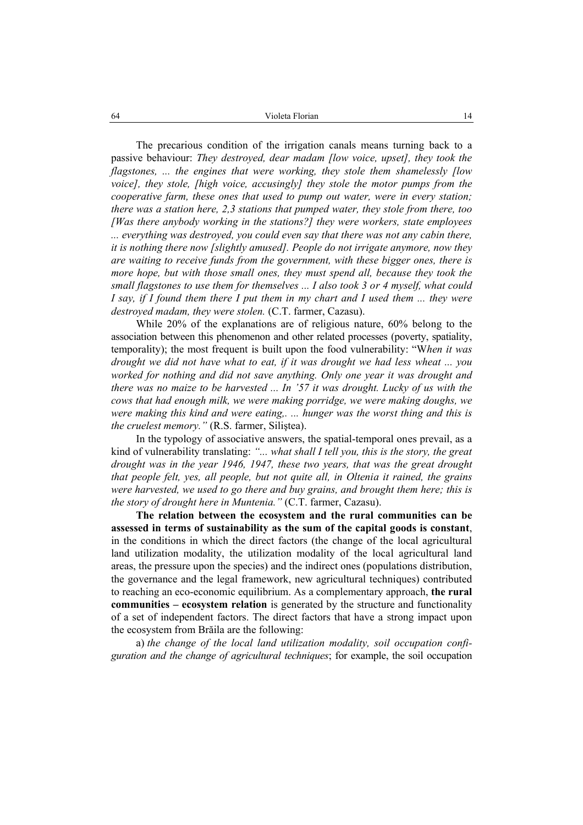The precarious condition of the irrigation canals means turning back to a passive behaviour: *They destroyed, dear madam [low voice, upset], they took the flagstones, ... the engines that were working, they stole them shamelessly [low voice], they stole, [high voice, accusingly] they stole the motor pumps from the cooperative farm, these ones that used to pump out water, were in every station; there was a station here, 2,3 stations that pumped water, they stole from there, too [Was there anybody working in the stations?] they were workers, state employees ... everything was destroyed, you could even say that there was not any cabin there, it is nothing there now [slightly amused]. People do not irrigate anymore, now they are waiting to receive funds from the government, with these bigger ones, there is more hope, but with those small ones, they must spend all, because they took the small flagstones to use them for themselves ... I also took 3 or 4 myself, what could I say, if I found them there I put them in my chart and I used them ... they were destroyed madam, they were stolen.* (C.T. farmer, Cazasu).

While 20% of the explanations are of religious nature, 60% belong to the association between this phenomenon and other related processes (poverty, spatiality, temporality); the most frequent is built upon the food vulnerability: "W*hen it was drought we did not have what to eat, if it was drought we had less wheat ... you worked for nothing and did not save anything. Only one year it was drought and there was no maize to be harvested ... In '57 it was drought. Lucky of us with the cows that had enough milk, we were making porridge, we were making doughs, we were making this kind and were eating,. ... hunger was the worst thing and this is the cruelest memory."* (R.S. farmer, Siliştea).

In the typology of associative answers, the spatial-temporal ones prevail, as a kind of vulnerability translating: *"... what shall I tell you, this is the story, the great drought was in the year 1946, 1947, these two years, that was the great drought that people felt, yes, all people, but not quite all, in Oltenia it rained, the grains were harvested, we used to go there and buy grains, and brought them here; this is the story of drought here in Muntenia."* (C.T. farmer, Cazasu).

**The relation between the ecosystem and the rural communities can be assessed in terms of sustainability as the sum of the capital goods is constant**, in the conditions in which the direct factors (the change of the local agricultural land utilization modality, the utilization modality of the local agricultural land areas, the pressure upon the species) and the indirect ones (populations distribution, the governance and the legal framework, new agricultural techniques) contributed to reaching an eco-economic equilibrium. As a complementary approach, **the rural communities – ecosystem relation** is generated by the structure and functionality of a set of independent factors. The direct factors that have a strong impact upon the ecosystem from Brăila are the following:

a) *the change of the local land utilization modality, soil occupation configuration and the change of agricultural techniques*; for example, the soil occupation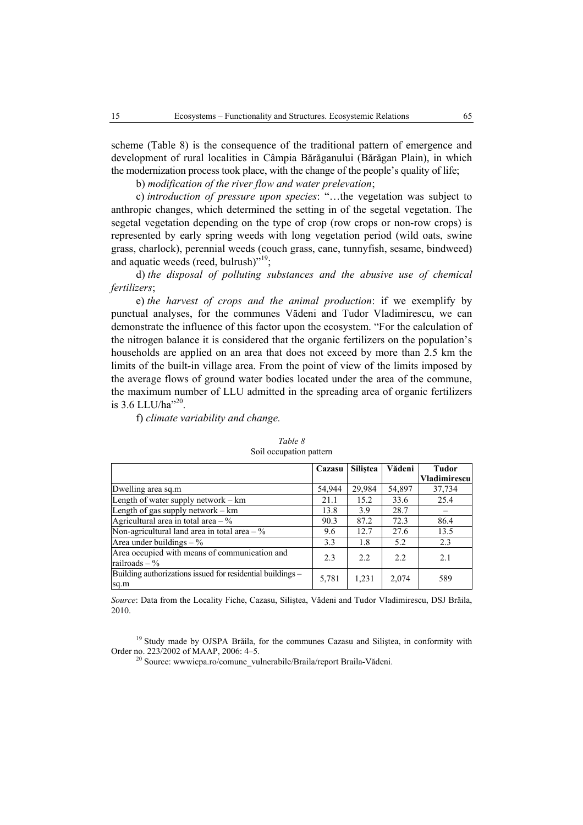scheme (Table 8) is the consequence of the traditional pattern of emergence and development of rural localities in Câmpia Bărăganului (Bărăgan Plain), in which the modernization process took place, with the change of the people's quality of life;

b) *modification of the river flow and water prelevation*;

c) *introduction of pressure upon species*: "…the vegetation was subject to anthropic changes, which determined the setting in of the segetal vegetation. The segetal vegetation depending on the type of crop (row crops or non-row crops) is represented by early spring weeds with long vegetation period (wild oats, swine grass, charlock), perennial weeds (couch grass, cane, tunnyfish, sesame, bindweed) and aquatic weeds (reed, bulrush)"<sup>19</sup>;

d) *the disposal of polluting substances and the abusive use of chemical fertilizers*;

e) *the harvest of crops and the animal production*: if we exemplify by punctual analyses, for the communes Vădeni and Tudor Vladimirescu, we can demonstrate the influence of this factor upon the ecosystem. "For the calculation of the nitrogen balance it is considered that the organic fertilizers on the population's households are applied on an area that does not exceed by more than 2.5 km the limits of the built-in village area. From the point of view of the limits imposed by the average flows of ground water bodies located under the area of the commune, the maximum number of LLU admitted in the spreading area of organic fertilizers is  $3.6$  LLU/ha<sup>220</sup>.

f) *climate variability and change.* 

|                                                                    | Cazasu | <b>Silistea</b> | Vădeni | Tudor<br><b>Vladimirescu</b> |
|--------------------------------------------------------------------|--------|-----------------|--------|------------------------------|
| Dwelling area sq.m                                                 | 54,944 | 29,984          | 54,897 | 37,734                       |
| Length of water supply network $-$ km                              | 21.1   | 15.2            | 33.6   | 25.4                         |
| Length of gas supply network $-$ km                                | 13.8   | 3.9             | 28.7   |                              |
| Agricultural area in total area $-$ %                              | 90.3   | 87.2            | 72.3   | 86.4                         |
| Non-agricultural land area in total area $-$ %                     | 9.6    | 12.7            | 27.6   | 13.5                         |
| Area under buildings $-$ %                                         | 3.3    | 1.8             | 5.2    | 2.3                          |
| Area occupied with means of communication and<br>railroads $-$ %   | 2.3    | 2.2             | 2.2    | 2.1                          |
| Building authorizations issued for residential buildings -<br>sq.m | 5,781  | 1,231           | 2,074  | 589                          |

*Table 8*  Soil occupation pattern

*Source*: Data from the Locality Fiche, Cazasu, Siliştea, Vădeni and Tudor Vladimirescu, DSJ Brăila, 2010.

<sup>19</sup> Study made by OJSPA Brăila, for the communes Cazasu and Silistea, in conformity with Order no. 223/2002 of MAAP, 2006: 4–5.<br><sup>20</sup> Source: wwwicpa.ro/comune\_vulnerabile/Braila/report Braila-Vădeni.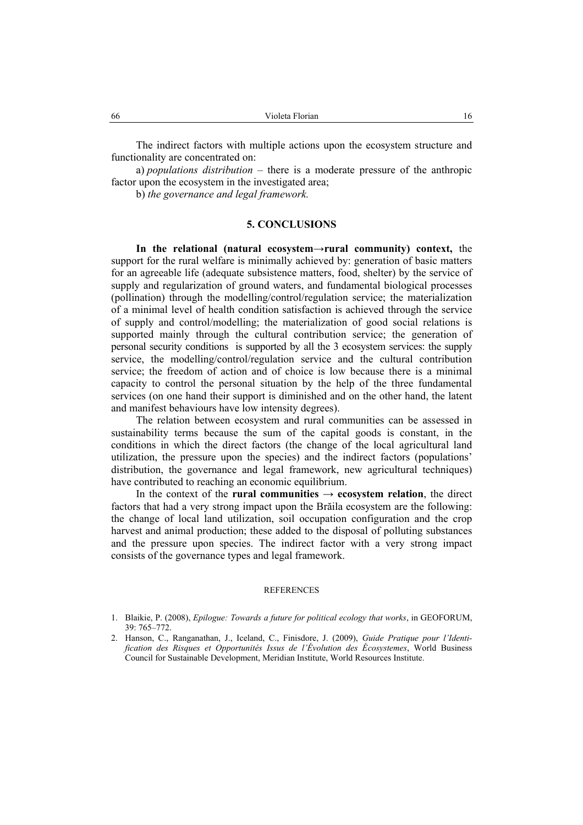The indirect factors with multiple actions upon the ecosystem structure and functionality are concentrated on:

a) *populations distribution* – there is a moderate pressure of the anthropic factor upon the ecosystem in the investigated area;

b) *the governance and legal framework.*

# **5. CONCLUSIONS**

**In the relational (natural ecosystem→rural community) context,** the support for the rural welfare is minimally achieved by: generation of basic matters for an agreeable life (adequate subsistence matters, food, shelter) by the service of supply and regularization of ground waters, and fundamental biological processes (pollination) through the modelling/control/regulation service; the materialization of a minimal level of health condition satisfaction is achieved through the service of supply and control/modelling; the materialization of good social relations is supported mainly through the cultural contribution service; the generation of personal security conditions is supported by all the 3 ecosystem services: the supply service, the modelling/control/regulation service and the cultural contribution service; the freedom of action and of choice is low because there is a minimal capacity to control the personal situation by the help of the three fundamental services (on one hand their support is diminished and on the other hand, the latent and manifest behaviours have low intensity degrees).

The relation between ecosystem and rural communities can be assessed in sustainability terms because the sum of the capital goods is constant, in the conditions in which the direct factors (the change of the local agricultural land utilization, the pressure upon the species) and the indirect factors (populations' distribution, the governance and legal framework, new agricultural techniques) have contributed to reaching an economic equilibrium.

In the context of the **rural communities**  $\rightarrow$  **ecosystem relation**, the direct factors that had a very strong impact upon the Brăila ecosystem are the following: the change of local land utilization, soil occupation configuration and the crop harvest and animal production; these added to the disposal of polluting substances and the pressure upon species. The indirect factor with a very strong impact consists of the governance types and legal framework.

#### **REFERENCES**

<sup>1.</sup> Blaikie, P. (2008), *Epilogue: Towards a future for political ecology that works*, in GEOFORUM, 39: 765–772.

<sup>2.</sup> Hanson, C., Ranganathan, J., Iceland, C., Finisdore, J. (2009), *Guide Pratique pour l'Identification des Risques et Opportunités Issus de l'Évolution des Écosystemes*, World Business Council for Sustainable Development, Meridian Institute, World Resources Institute.